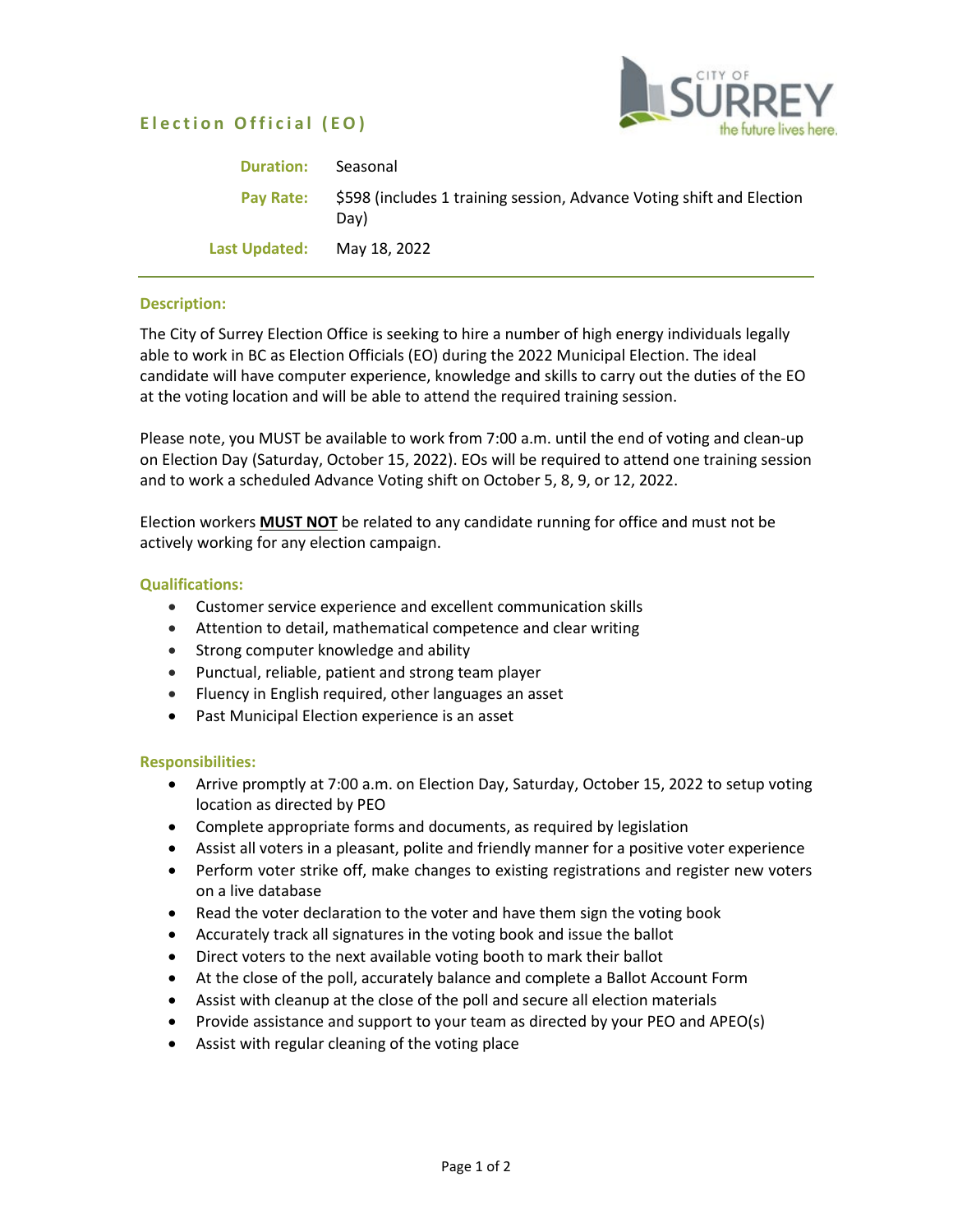# **Election Official ( EO)**



| <b>Duration:</b> | Seasonal                                                                      |
|------------------|-------------------------------------------------------------------------------|
| <b>Pay Rate:</b> | \$598 (includes 1 training session, Advance Voting shift and Election<br>Dav) |
| Last Updated:    | May 18, 2022                                                                  |

# **Description:**

The City of Surrey Election Office is seeking to hire a number of high energy individuals legally able to work in BC as Election Officials (EO) during the 2022 Municipal Election. The ideal candidate will have computer experience, knowledge and skills to carry out the duties of the EO at the voting location and will be able to attend the required training session.

Please note, you MUST be available to work from 7:00 a.m. until the end of voting and clean-up on Election Day (Saturday, October 15, 2022). EOs will be required to attend one training session and to work a scheduled Advance Voting shift on October 5, 8, 9, or 12, 2022.

Election workers **MUST NOT** be related to any candidate running for office and must not be actively working for any election campaign.

### **Qualifications:**

- Customer service experience and excellent communication skills
- Attention to detail, mathematical competence and clear writing
- Strong computer knowledge and ability
- Punctual, reliable, patient and strong team player
- Fluency in English required, other languages an asset
- Past Municipal Election experience is an asset

#### **Responsibilities:**

- Arrive promptly at 7:00 a.m. on Election Day, Saturday, October 15, 2022 to setup voting location as directed by PEO
- Complete appropriate forms and documents, as required by legislation
- Assist all voters in a pleasant, polite and friendly manner for a positive voter experience
- Perform voter strike off, make changes to existing registrations and register new voters on a live database
- Read the voter declaration to the voter and have them sign the voting book
- Accurately track all signatures in the voting book and issue the ballot
- Direct voters to the next available voting booth to mark their ballot
- At the close of the poll, accurately balance and complete a Ballot Account Form
- Assist with cleanup at the close of the poll and secure all election materials
- Provide assistance and support to your team as directed by your PEO and APEO(s)
- Assist with regular cleaning of the voting place